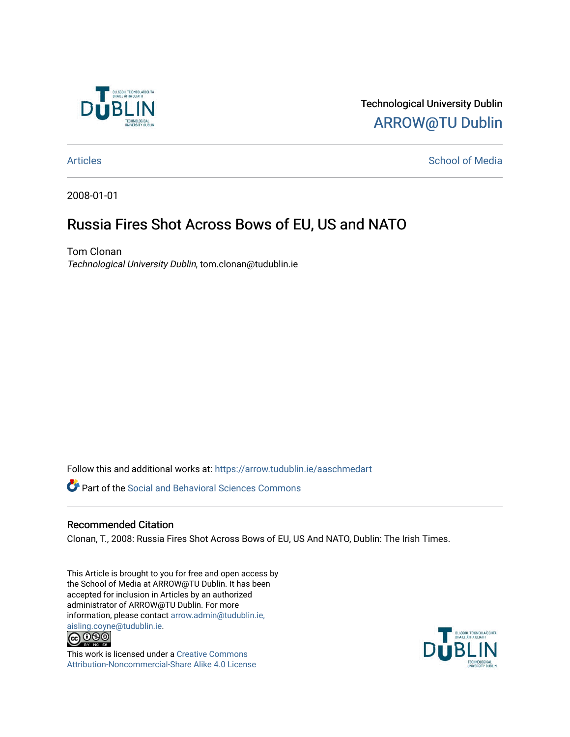

Technological University Dublin [ARROW@TU Dublin](https://arrow.tudublin.ie/) 

## [Articles](https://arrow.tudublin.ie/aaschmedart) **School of Media**

2008-01-01

## Russia Fires Shot Across Bows of EU, US and NATO

Tom Clonan Technological University Dublin, tom.clonan@tudublin.ie

Follow this and additional works at: [https://arrow.tudublin.ie/aaschmedart](https://arrow.tudublin.ie/aaschmedart?utm_source=arrow.tudublin.ie%2Faaschmedart%2F57&utm_medium=PDF&utm_campaign=PDFCoverPages) 

Part of the [Social and Behavioral Sciences Commons](http://network.bepress.com/hgg/discipline/316?utm_source=arrow.tudublin.ie%2Faaschmedart%2F57&utm_medium=PDF&utm_campaign=PDFCoverPages) 

## Recommended Citation

Clonan, T., 2008: Russia Fires Shot Across Bows of EU, US And NATO, Dublin: The Irish Times.

This Article is brought to you for free and open access by the School of Media at ARROW@TU Dublin. It has been accepted for inclusion in Articles by an authorized administrator of ARROW@TU Dublin. For more information, please contact [arrow.admin@tudublin.ie,](mailto:arrow.admin@tudublin.ie,%20aisling.coyne@tudublin.ie)  [aisling.coyne@tudublin.ie.](mailto:arrow.admin@tudublin.ie,%20aisling.coyne@tudublin.ie)<br>  $\bigodot$  0 9 0



This work is licensed under a [Creative Commons](http://creativecommons.org/licenses/by-nc-sa/4.0/) [Attribution-Noncommercial-Share Alike 4.0 License](http://creativecommons.org/licenses/by-nc-sa/4.0/)

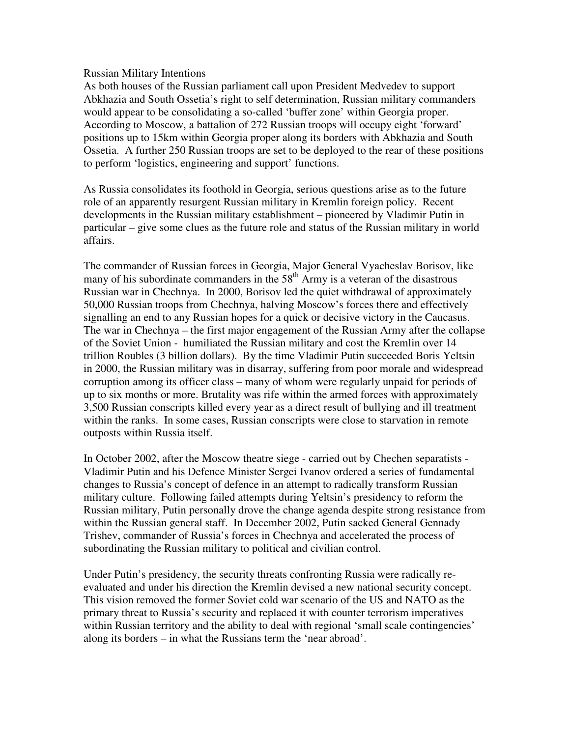## Russian Military Intentions

As both houses of the Russian parliament call upon President Medvedev to support Abkhazia and South Ossetia's right to self determination, Russian military commanders would appear to be consolidating a so-called 'buffer zone' within Georgia proper. According to Moscow, a battalion of 272 Russian troops will occupy eight 'forward' positions up to 15km within Georgia proper along its borders with Abkhazia and South Ossetia. A further 250 Russian troops are set to be deployed to the rear of these positions to perform 'logistics, engineering and support' functions.

As Russia consolidates its foothold in Georgia, serious questions arise as to the future role of an apparently resurgent Russian military in Kremlin foreign policy. Recent developments in the Russian military establishment – pioneered by Vladimir Putin in particular – give some clues as the future role and status of the Russian military in world affairs.

The commander of Russian forces in Georgia, Major General Vyacheslav Borisov, like many of his subordinate commanders in the  $58<sup>th</sup>$  Army is a veteran of the disastrous Russian war in Chechnya. In 2000, Borisov led the quiet withdrawal of approximately 50,000 Russian troops from Chechnya, halving Moscow's forces there and effectively signalling an end to any Russian hopes for a quick or decisive victory in the Caucasus. The war in Chechnya – the first major engagement of the Russian Army after the collapse of the Soviet Union - humiliated the Russian military and cost the Kremlin over 14 trillion Roubles (3 billion dollars). By the time Vladimir Putin succeeded Boris Yeltsin in 2000, the Russian military was in disarray, suffering from poor morale and widespread corruption among its officer class – many of whom were regularly unpaid for periods of up to six months or more. Brutality was rife within the armed forces with approximately 3,500 Russian conscripts killed every year as a direct result of bullying and ill treatment within the ranks. In some cases, Russian conscripts were close to starvation in remote outposts within Russia itself.

In October 2002, after the Moscow theatre siege - carried out by Chechen separatists - Vladimir Putin and his Defence Minister Sergei Ivanov ordered a series of fundamental changes to Russia's concept of defence in an attempt to radically transform Russian military culture. Following failed attempts during Yeltsin's presidency to reform the Russian military, Putin personally drove the change agenda despite strong resistance from within the Russian general staff. In December 2002, Putin sacked General Gennady Trishev, commander of Russia's forces in Chechnya and accelerated the process of subordinating the Russian military to political and civilian control.

Under Putin's presidency, the security threats confronting Russia were radically reevaluated and under his direction the Kremlin devised a new national security concept. This vision removed the former Soviet cold war scenario of the US and NATO as the primary threat to Russia's security and replaced it with counter terrorism imperatives within Russian territory and the ability to deal with regional 'small scale contingencies' along its borders – in what the Russians term the 'near abroad'.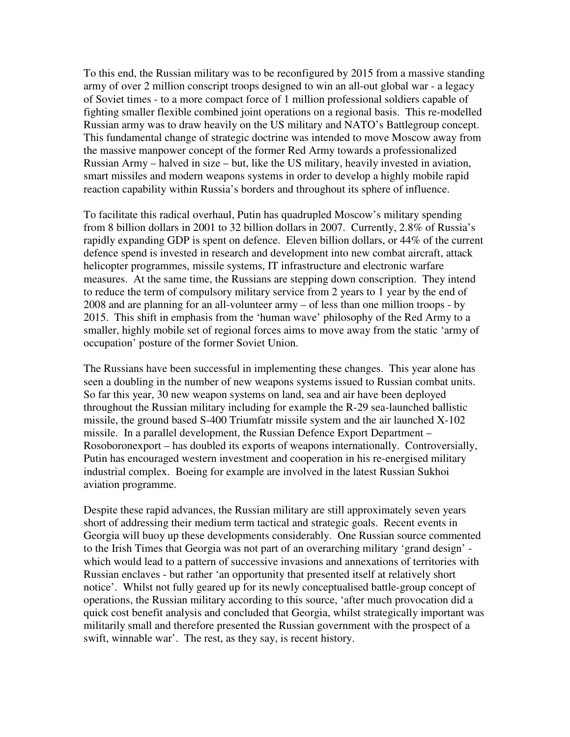To this end, the Russian military was to be reconfigured by 2015 from a massive standing army of over 2 million conscript troops designed to win an all-out global war - a legacy of Soviet times - to a more compact force of 1 million professional soldiers capable of fighting smaller flexible combined joint operations on a regional basis. This re-modelled Russian army was to draw heavily on the US military and NATO's Battlegroup concept. This fundamental change of strategic doctrine was intended to move Moscow away from the massive manpower concept of the former Red Army towards a professionalized Russian Army – halved in size – but, like the US military, heavily invested in aviation, smart missiles and modern weapons systems in order to develop a highly mobile rapid reaction capability within Russia's borders and throughout its sphere of influence.

To facilitate this radical overhaul, Putin has quadrupled Moscow's military spending from 8 billion dollars in 2001 to 32 billion dollars in 2007. Currently, 2.8% of Russia's rapidly expanding GDP is spent on defence. Eleven billion dollars, or 44% of the current defence spend is invested in research and development into new combat aircraft, attack helicopter programmes, missile systems, IT infrastructure and electronic warfare measures. At the same time, the Russians are stepping down conscription. They intend to reduce the term of compulsory military service from 2 years to 1 year by the end of 2008 and are planning for an all-volunteer army – of less than one million troops - by 2015. This shift in emphasis from the 'human wave' philosophy of the Red Army to a smaller, highly mobile set of regional forces aims to move away from the static 'army of occupation' posture of the former Soviet Union.

The Russians have been successful in implementing these changes. This year alone has seen a doubling in the number of new weapons systems issued to Russian combat units. So far this year, 30 new weapon systems on land, sea and air have been deployed throughout the Russian military including for example the R-29 sea-launched ballistic missile, the ground based S-400 Triumfatr missile system and the air launched X-102 missile. In a parallel development, the Russian Defence Export Department – Rosoboronexport – has doubled its exports of weapons internationally. Controversially, Putin has encouraged western investment and cooperation in his re-energised military industrial complex. Boeing for example are involved in the latest Russian Sukhoi aviation programme.

Despite these rapid advances, the Russian military are still approximately seven years short of addressing their medium term tactical and strategic goals. Recent events in Georgia will buoy up these developments considerably. One Russian source commented to the Irish Times that Georgia was not part of an overarching military 'grand design' which would lead to a pattern of successive invasions and annexations of territories with Russian enclaves - but rather 'an opportunity that presented itself at relatively short notice'. Whilst not fully geared up for its newly conceptualised battle-group concept of operations, the Russian military according to this source, 'after much provocation did a quick cost benefit analysis and concluded that Georgia, whilst strategically important was militarily small and therefore presented the Russian government with the prospect of a swift, winnable war'. The rest, as they say, is recent history.